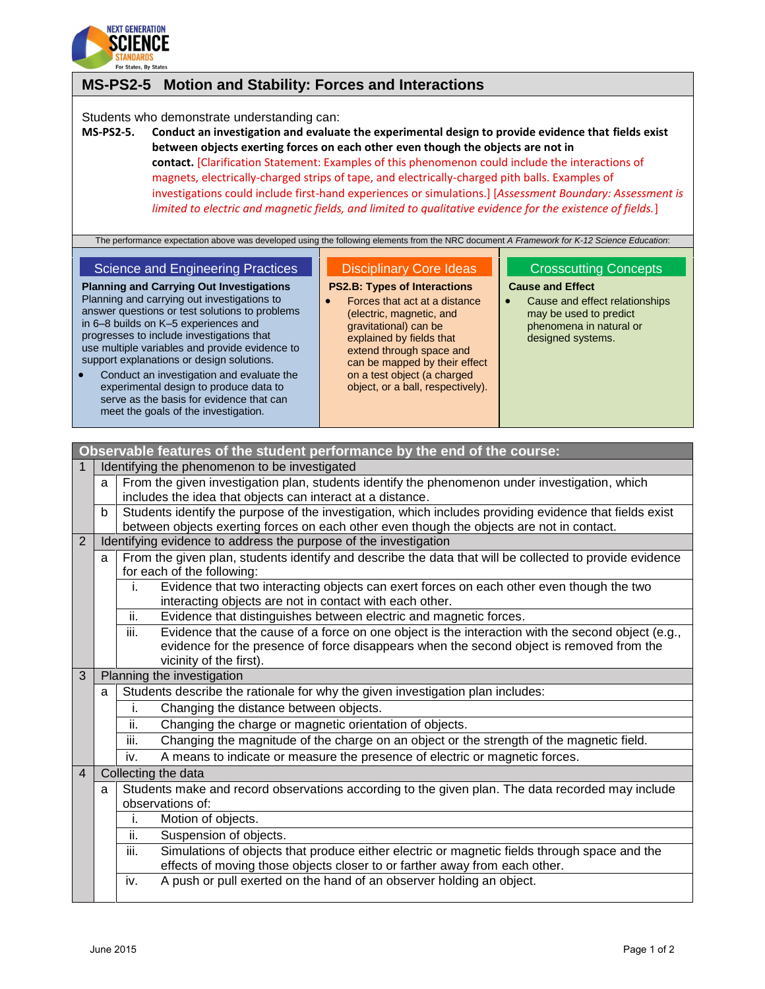

## **MS-PS2-5 Motion and Stability: Forces and Interactions**

Students who demonstrate understanding can:

**MS-PS2-5. Conduct an investigation and evaluate the experimental design to provide evidence that fields exist between objects exerting forces on each other even though the objects are not in contact.** [Clarification Statement: Examples of this phenomenon could include the interactions of magnets, electrically-charged strips of tape, and electrically-charged pith balls. Examples of investigations could include first-hand experiences or simulations.] [*Assessment Boundary: Assessment is limited to electric and magnetic fields, and limited to qualitative evidence for the existence of fields.*]

The performance expectation above was developed using the following elements from the NRC document *A Framework for K-12 Science Education*:

## Science and Engineering Practices

Disciplinary Core Ideas **PS2.B: Types of Interactions**

- **Planning and Carrying Out Investigations** Planning and carrying out investigations to answer questions or test solutions to problems in 6–8 builds on K–5 experiences and progresses to include investigations that use multiple variables and provide evidence to support explanations or design solutions.
- Conduct an investigation and evaluate the experimental design to produce data to serve as the basis for evidence that can meet the goals of the investigation.
- Forces that act at a distance (electric, magnetic, and gravitational) can be explained by fields that extend through space and can be mapped by their effect on a test object (a charged object, or a ball, respectively).

## Crosscutting Concepts

- **Cause and Effect**
	- Cause and effect relationships may be used to predict phenomena in natural or designed systems.

| Observable features of the student performance by the end of the course: |   |                                                                                                                                                           |
|--------------------------------------------------------------------------|---|-----------------------------------------------------------------------------------------------------------------------------------------------------------|
|                                                                          |   | Identifying the phenomenon to be investigated                                                                                                             |
|                                                                          | a | From the given investigation plan, students identify the phenomenon under investigation, which                                                            |
|                                                                          |   | includes the idea that objects can interact at a distance.                                                                                                |
|                                                                          | b | Students identify the purpose of the investigation, which includes providing evidence that fields exist                                                   |
|                                                                          |   | between objects exerting forces on each other even though the objects are not in contact.                                                                 |
| 2                                                                        |   | Identifying evidence to address the purpose of the investigation                                                                                          |
|                                                                          | a | From the given plan, students identify and describe the data that will be collected to provide evidence<br>for each of the following:                     |
|                                                                          |   | Evidence that two interacting objects can exert forces on each other even though the two<br>j.<br>interacting objects are not in contact with each other. |
|                                                                          |   | ii.<br>Evidence that distinguishes between electric and magnetic forces.                                                                                  |
|                                                                          |   | Evidence that the cause of a force on one object is the interaction with the second object (e.g.,<br>iii.                                                 |
|                                                                          |   | evidence for the presence of force disappears when the second object is removed from the                                                                  |
|                                                                          |   | vicinity of the first).                                                                                                                                   |
| 3                                                                        |   | Planning the investigation                                                                                                                                |
|                                                                          | a | Students describe the rationale for why the given investigation plan includes:                                                                            |
|                                                                          |   | Changing the distance between objects.                                                                                                                    |
|                                                                          |   | ii.<br>Changing the charge or magnetic orientation of objects.                                                                                            |
|                                                                          |   | Changing the magnitude of the charge on an object or the strength of the magnetic field.<br>iii.                                                          |
|                                                                          |   | A means to indicate or measure the presence of electric or magnetic forces.<br>iv.                                                                        |
| $\overline{4}$                                                           |   | Collecting the data                                                                                                                                       |
|                                                                          | a | Students make and record observations according to the given plan. The data recorded may include                                                          |
|                                                                          |   | observations of:                                                                                                                                          |
|                                                                          |   | Motion of objects.<br>j.                                                                                                                                  |
|                                                                          |   | ii.<br>Suspension of objects.                                                                                                                             |
|                                                                          |   | iii.<br>Simulations of objects that produce either electric or magnetic fields through space and the                                                      |
|                                                                          |   | effects of moving those objects closer to or farther away from each other.                                                                                |
|                                                                          |   | A push or pull exerted on the hand of an observer holding an object.<br>iv.                                                                               |
|                                                                          |   |                                                                                                                                                           |